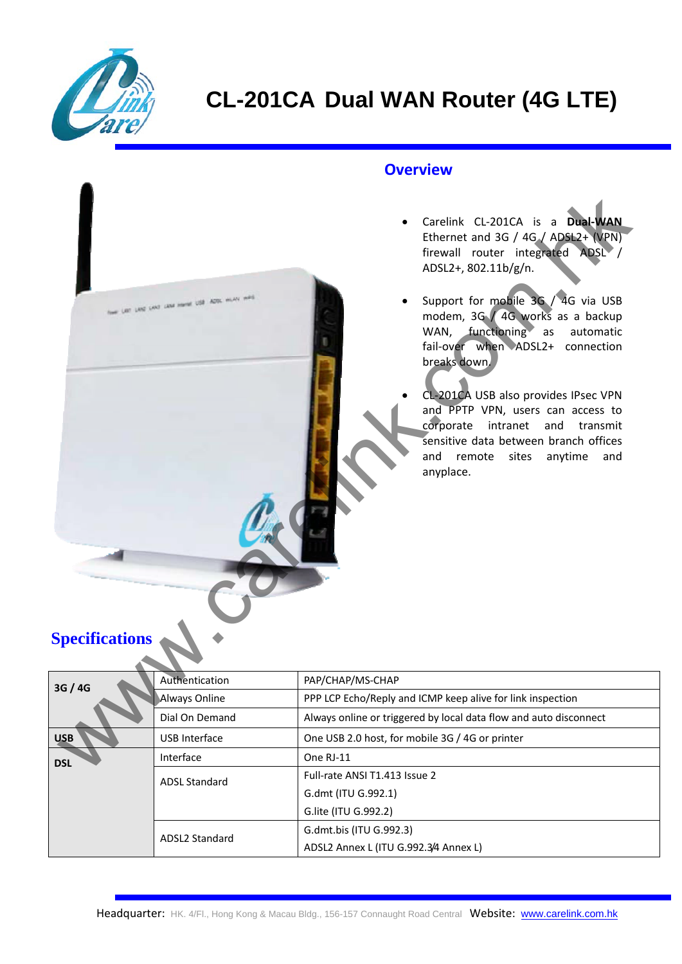

#### **Overview**

- Carelink CL‐201CA is a **Dual‐WAN** Ethernet and 3G / 4G / ADSL2+ (VPN) firewall router integrated ADSL / ADSL2+, 802.11b/g/n.
- Support for mobile 3G / 4G via USB modem, 3G / 4G works as a backup WAN, functioning as automatic fail‐over when ADSL2+ connection breaks down.
- CL‐201CA USB also provides IPsec VPN and PPTP VPN, users can access to corporate intranet and transmit sensitive data between branch offices and remote sites anytime and anyplace.

### **Specifications**

| <b>Specifications</b> | Les Leas Leas Lieux Hamil USB Actor HUAS WAS | Carelink CL-201CA is a Dual-WAN<br>$\bullet$<br>Ethernet and 3G / 4G / ADSL2+ (VPN)<br>firewall router integrated ADSL /<br>ADSL2+, 802.11b/g/n.<br>Support for mobile 3G / 4G via USB<br>modem, 3G / 4G works as a backup<br>WAN, functioning as<br>automatic<br>fail-over when ADSL2+ connection<br>breaks down.<br>CL-201CA USB also provides IPsec VPN<br>and PPTP VPN, users can access to<br>corporate intranet<br>and transmit<br>sensitive data between branch offices<br>and remote sites anytime<br>and<br>anyplace. |
|-----------------------|----------------------------------------------|--------------------------------------------------------------------------------------------------------------------------------------------------------------------------------------------------------------------------------------------------------------------------------------------------------------------------------------------------------------------------------------------------------------------------------------------------------------------------------------------------------------------------------|
| 3G / 4G               | Authentication                               | PAP/CHAP/MS-CHAP                                                                                                                                                                                                                                                                                                                                                                                                                                                                                                               |
|                       | Always Online                                | PPP LCP Echo/Reply and ICMP keep alive for link inspection                                                                                                                                                                                                                                                                                                                                                                                                                                                                     |
|                       | Dial On Demand                               | Always online or triggered by local data flow and auto disconnect                                                                                                                                                                                                                                                                                                                                                                                                                                                              |
| <b>USB</b>            | <b>USB Interface</b>                         | One USB 2.0 host, for mobile 3G / 4G or printer                                                                                                                                                                                                                                                                                                                                                                                                                                                                                |
| <b>DSL</b>            | Interface                                    | One RJ-11                                                                                                                                                                                                                                                                                                                                                                                                                                                                                                                      |
|                       | <b>ADSL Standard</b>                         | Full-rate ANSI T1.413 Issue 2                                                                                                                                                                                                                                                                                                                                                                                                                                                                                                  |
|                       |                                              | G.dmt (ITU G.992.1)                                                                                                                                                                                                                                                                                                                                                                                                                                                                                                            |
|                       |                                              | G.lite (ITU G.992.2)                                                                                                                                                                                                                                                                                                                                                                                                                                                                                                           |
|                       | ADSL2 Standard                               | G.dmt.bis (ITU G.992.3)                                                                                                                                                                                                                                                                                                                                                                                                                                                                                                        |
|                       |                                              | ADSL2 Annex L (ITU G.992.3/4 Annex L)                                                                                                                                                                                                                                                                                                                                                                                                                                                                                          |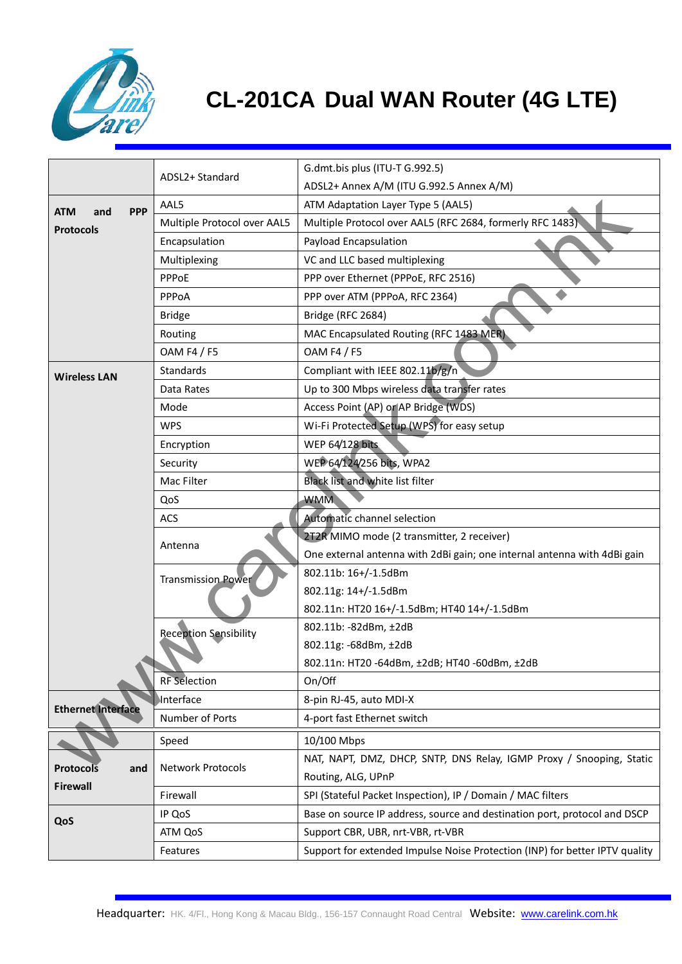

# **CL-201CA Dual WAN Router (4G LTE)**

|                                 | ADSL2+ Standard              | G.dmt.bis plus (ITU-T G.992.5)                                              |
|---------------------------------|------------------------------|-----------------------------------------------------------------------------|
|                                 |                              | ADSL2+ Annex A/M (ITU G.992.5 Annex A/M)                                    |
| <b>PPP</b><br><b>ATM</b><br>and | AAL5                         | ATM Adaptation Layer Type 5 (AAL5)                                          |
| <b>Protocols</b>                | Multiple Protocol over AAL5  | Multiple Protocol over AAL5 (RFC 2684, formerly RFC 1483)                   |
|                                 | Encapsulation                | Payload Encapsulation                                                       |
|                                 | Multiplexing                 | VC and LLC based multiplexing                                               |
|                                 | PPPoE                        | PPP over Ethernet (PPPoE, RFC 2516)                                         |
|                                 | PPPoA                        | PPP over ATM (PPPoA, RFC 2364)                                              |
|                                 | <b>Bridge</b>                | Bridge (RFC 2684)                                                           |
|                                 | Routing                      | MAC Encapsulated Routing (RFC 1483 MER).                                    |
|                                 | <b>OAM F4 / F5</b>           | <b>OAM F4 / F5</b>                                                          |
| <b>Wireless LAN</b>             | Standards                    | Compliant with IEEE 802.11b/g/n                                             |
|                                 | Data Rates                   | Up to 300 Mbps wireless data transfer rates                                 |
|                                 | Mode                         | Access Point (AP) or AP Bridge (WDS)                                        |
|                                 | <b>WPS</b>                   | Wi-Fi Protected Setup (WPS) for easy setup                                  |
|                                 | Encryption                   | <b>WEP 64/128 bits</b>                                                      |
|                                 | Security                     | WEP 64/124/256 bits, WPA2                                                   |
|                                 | Mac Filter                   | Black list and white list filter                                            |
|                                 | QoS                          | <b>WMM</b>                                                                  |
|                                 | ACS                          | <b>Automatic channel selection</b>                                          |
|                                 | Antenna                      | 2T2R MIMO mode (2 transmitter, 2 receiver)                                  |
|                                 |                              | One external antenna with 2dBi gain; one internal antenna with 4dBi gain    |
|                                 | <b>Transmission Power</b>    | 802.11b: 16+/-1.5dBm                                                        |
|                                 |                              | 802.11g: 14+/-1.5dBm                                                        |
|                                 |                              | 802.11n: HT20 16+/-1.5dBm; HT40 14+/-1.5dBm                                 |
|                                 | <b>Reception Sensibility</b> | 802.11b: -82dBm, ±2dB                                                       |
|                                 |                              | 802.11g: -68dBm, ±2dB                                                       |
|                                 |                              | 802.11n: HT20 -64dBm, ±2dB; HT40 -60dBm, ±2dB                               |
|                                 | <b>RF</b> Selection          | On/Off                                                                      |
|                                 | Interface                    | 8-pin RJ-45, auto MDI-X                                                     |
| <b>Ethernet Interface</b>       | Number of Ports              | 4-port fast Ethernet switch                                                 |
|                                 | Speed                        | 10/100 Mbps                                                                 |
|                                 |                              | NAT, NAPT, DMZ, DHCP, SNTP, DNS Relay, IGMP Proxy / Snooping, Static        |
| <b>Protocols</b><br>and         | Network Protocols            | Routing, ALG, UPnP                                                          |
| <b>Firewall</b>                 | Firewall                     | SPI (Stateful Packet Inspection), IP / Domain / MAC filters                 |
| QoS                             | IP QoS                       | Base on source IP address, source and destination port, protocol and DSCP   |
|                                 | ATM QoS                      | Support CBR, UBR, nrt-VBR, rt-VBR                                           |
|                                 | Features                     | Support for extended Impulse Noise Protection (INP) for better IPTV quality |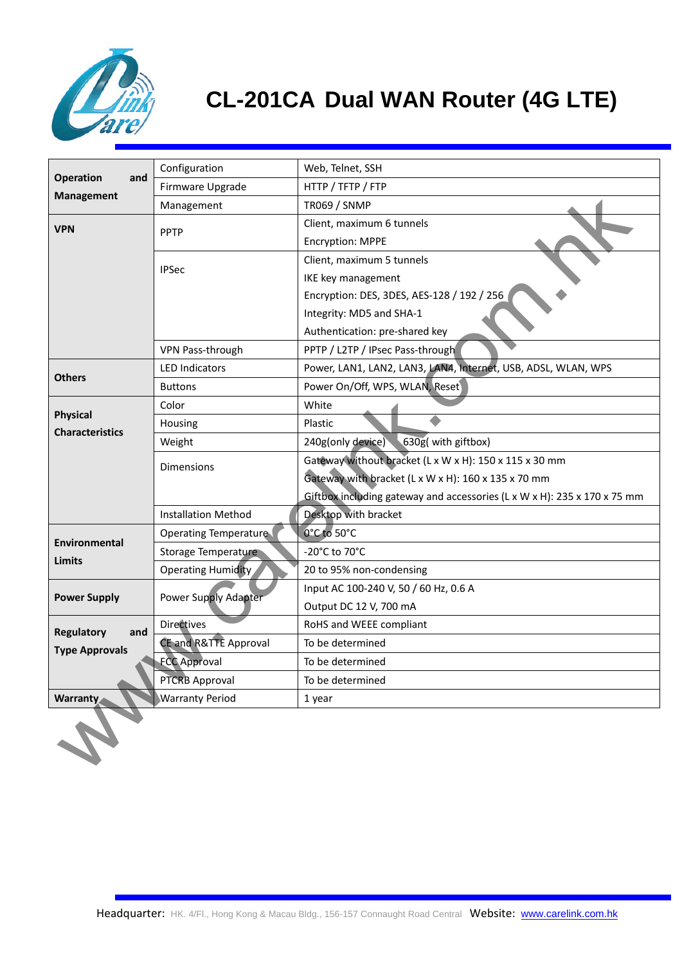

# **CL-201CA Dual WAN Router (4G LTE)**

|                                                   | Configuration                    | Web, Telnet, SSH                                                         |
|---------------------------------------------------|----------------------------------|--------------------------------------------------------------------------|
| <b>Operation</b><br>and<br><b>Management</b>      | Firmware Upgrade                 | HTTP / TFTP / FTP                                                        |
|                                                   | Management                       | <b>TR069 / SNMP</b>                                                      |
| <b>VPN</b>                                        | <b>PPTP</b>                      | Client, maximum 6 tunnels                                                |
|                                                   |                                  | <b>Encryption: MPPE</b>                                                  |
|                                                   | <b>IPSec</b>                     | Client, maximum 5 tunnels                                                |
|                                                   |                                  | IKE key management                                                       |
|                                                   |                                  | Encryption: DES, 3DES, AES-128 / 192 / 256                               |
|                                                   |                                  | Integrity: MD5 and SHA-1                                                 |
|                                                   |                                  | Authentication: pre-shared key                                           |
|                                                   | VPN Pass-through                 | PPTP / L2TP / IPsec Pass-through                                         |
| <b>Others</b>                                     | <b>LED Indicators</b>            | Power, LAN1, LAN2, LAN3, LAN4, Internet, USB, ADSL, WLAN, WPS            |
|                                                   | <b>Buttons</b>                   | Power On/Off, WPS, WLAN, Reset                                           |
| <b>Physical</b>                                   | Color                            | White                                                                    |
| <b>Characteristics</b>                            | Housing                          | Plastic                                                                  |
|                                                   | Weight                           | 630g( with giftbox)<br>240g(only device)                                 |
|                                                   | <b>Dimensions</b>                | Gateway without bracket (L x W x H): 150 x 115 x 30 mm                   |
|                                                   |                                  | Gateway with bracket (L x W x H): 160 x 135 x 70 mm                      |
|                                                   |                                  | Giftbox including gateway and accessories (L x W x H): 235 x 170 x 75 mm |
|                                                   | <b>Installation Method</b>       | Desktop with bracket                                                     |
| <b>Environmental</b>                              | <b>Operating Temperature</b>     | 0°C to 50°C                                                              |
| <b>Limits</b>                                     | Storage Temperature              | -20°C to 70°C                                                            |
|                                                   | <b>Operating Humidity</b>        | 20 to 95% non-condensing                                                 |
| <b>Power Supply</b>                               | Power Supply Adapter             | Input AC 100-240 V, 50 / 60 Hz, 0.6 A                                    |
|                                                   |                                  | Output DC 12 V, 700 mA                                                   |
| <b>Regulatory</b><br>and<br><b>Type Approvals</b> | Directives                       | RoHS and WEEE compliant                                                  |
|                                                   | <b>CE and R&amp;TTE Approval</b> | To be determined                                                         |
|                                                   | <b>FCC Approval</b>              | To be determined                                                         |
|                                                   | <b>PTCRB Approval</b>            | To be determined                                                         |
| Warranty                                          | <b>Warranty Period</b>           | 1 year                                                                   |
|                                                   |                                  |                                                                          |